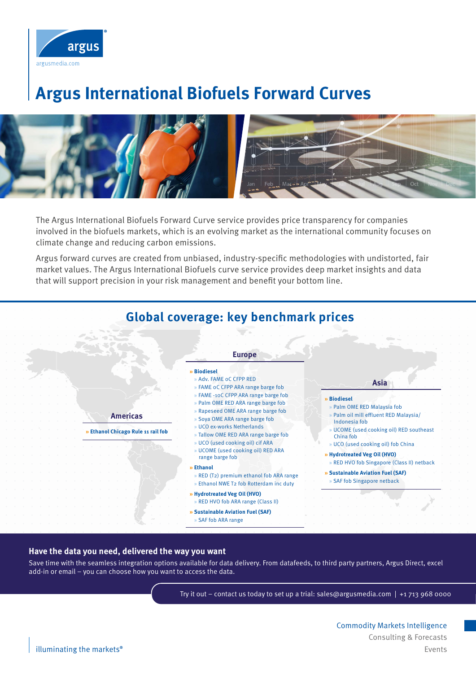

# **Argus International Biofuels Forward Curves**



The Argus International Biofuels Forward Curve service provides price transparency for companies involved in the biofuels markets, which is an evolving market as the international community focuses on climate change and reducing carbon emissions.

Argus forward curves are created from unbiased, industry-specific methodologies with undistorted, fair market values. The Argus International Biofuels curve service provides deep market insights and data that will support precision in your risk management and benefit your bottom line.



#### **Have the data you need, delivered the way you want**

Save time with the seamless integration options available for data delivery. From datafeeds, to third party partners, Argus Direct, excel add-in or email – you can choose how you want to access the data.

Try it out – contact us today to set up a trial: sales@argusmedia.com | +1 713 968 0000

Commodity Markets Intelligence Consulting & Forecasts illuminating the markets<sup>®</sup> Events **Exercise Exercise Exercise Exercise Exercise Exercise Exercise Events**